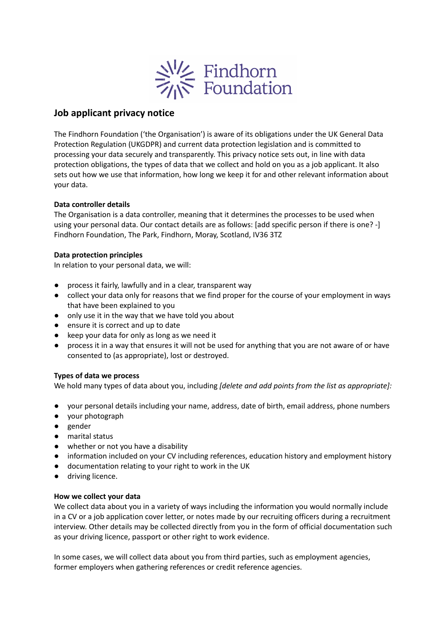

# **Job applicant privacy notice**

The Findhorn Foundation ('the Organisation') is aware of its obligations under the UK General Data Protection Regulation (UKGDPR) and current data protection legislation and is committed to processing your data securely and transparently. This privacy notice sets out, in line with data protection obligations, the types of data that we collect and hold on you as a job applicant. It also sets out how we use that information, how long we keep it for and other relevant information about your data.

# **Data controller details**

The Organisation is a data controller, meaning that it determines the processes to be used when using your personal data. Our contact details are as follows: [add specific person if there is one? -] Findhorn Foundation, The Park, Findhorn, Moray, Scotland, IV36 3TZ

# **Data protection principles**

In relation to your personal data, we will:

- process it fairly, lawfully and in a clear, transparent way
- collect your data only for reasons that we find proper for the course of your employment in ways that have been explained to you
- only use it in the way that we have told you about
- ensure it is correct and up to date
- keep your data for only as long as we need it
- process it in a way that ensures it will not be used for anything that you are not aware of or have consented to (as appropriate), lost or destroyed.

# **Types of data we process**

We hold many types of data about you, including *[delete and add points from the list as appropriate]:*

- your personal details including your name, address, date of birth, email address, phone numbers
- your photograph
- gender
- marital status
- whether or not you have a disability
- information included on your CV including references, education history and employment history
- documentation relating to your right to work in the UK
- driving licence.

# **How we collect your data**

We collect data about you in a variety of ways including the information you would normally include in a CV or a job application cover letter, or notes made by our recruiting officers during a recruitment interview. Other details may be collected directly from you in the form of official documentation such as your driving licence, passport or other right to work evidence.

In some cases, we will collect data about you from third parties, such as employment agencies, former employers when gathering references or credit reference agencies.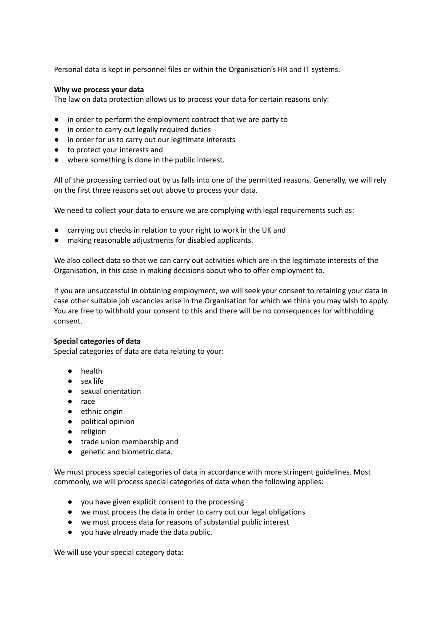Personal data is kept in personnel files or within the Organisation's HR and IT systems.

#### **Why we process your data**

The law on data protection allows us to process your data for certain reasons only:

- in order to perform the employment contract that we are party to
- in order to carry out legally required duties
- in order for us to carry out our legitimate interests
- to protect your interests and
- where something is done in the public interest.

All of the processing carried out by us falls into one of the permitted reasons. Generally, we will rely on the first three reasons set out above to process your data.

We need to collect your data to ensure we are complying with legal requirements such as:

- carrying out checks in relation to your right to work in the UK and
- making reasonable adjustments for disabled applicants.

We also collect data so that we can carry out activities which are in the legitimate interests of the Organisation, in this case in making decisions about who to offer employment to.

If you are unsuccessful in obtaining employment, we will seek your consent to retaining your data in case other suitable job vacancies arise in the Organisation for which we think you may wish to apply. You are free to withhold your consent to this and there will be no consequences for withholding consent.

#### **Special categories of data**

Special categories of data are data relating to your:

- health
- sex life
- sexual orientation
- race
- ethnic origin
- political opinion
- religion
- trade union membership and
- genetic and biometric data.

We must process special categories of data in accordance with more stringent guidelines. Most commonly, we will process special categories of data when the following applies:

- you have given explicit consent to the processing
- we must process the data in order to carry out our legal obligations
- we must process data for reasons of substantial public interest
- you have already made the data public.

We will use your special category data: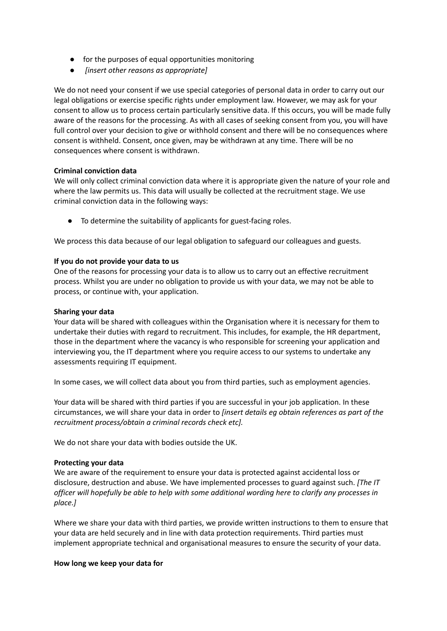- for the purposes of equal opportunities monitoring
- *● [insert other reasons as appropriate]*

We do not need your consent if we use special categories of personal data in order to carry out our legal obligations or exercise specific rights under employment law. However, we may ask for your consent to allow us to process certain particularly sensitive data. If this occurs, you will be made fully aware of the reasons for the processing. As with all cases of seeking consent from you, you will have full control over your decision to give or withhold consent and there will be no consequences where consent is withheld. Consent, once given, may be withdrawn at any time. There will be no consequences where consent is withdrawn.

# **Criminal conviction data**

We will only collect criminal conviction data where it is appropriate given the nature of your role and where the law permits us. This data will usually be collected at the recruitment stage. We use criminal conviction data in the following ways:

● To determine the suitability of applicants for guest-facing roles.

We process this data because of our legal obligation to safeguard our colleagues and guests.

# **If you do not provide your data to us**

One of the reasons for processing your data is to allow us to carry out an effective recruitment process. Whilst you are under no obligation to provide us with your data, we may not be able to process, or continue with, your application.

# **Sharing your data**

Your data will be shared with colleagues within the Organisation where it is necessary for them to undertake their duties with regard to recruitment. This includes, for example, the HR department, those in the department where the vacancy is who responsible for screening your application and interviewing you, the IT department where you require access to our systems to undertake any assessments requiring IT equipment.

In some cases, we will collect data about you from third parties, such as employment agencies.

Your data will be shared with third parties if you are successful in your job application. In these circumstances, we will share your data in order to *[insert details eg obtain references as part of the recruitment process/obtain a criminal records check etc].*

We do not share your data with bodies outside the UK.

# **Protecting your data**

We are aware of the requirement to ensure your data is protected against accidental loss or disclosure, destruction and abuse. We have implemented processes to guard against such. *[The IT officer will hopefully be able to help with some additional wording here to clarify any processes in place.]*

Where we share your data with third parties, we provide written instructions to them to ensure that your data are held securely and in line with data protection requirements. Third parties must implement appropriate technical and organisational measures to ensure the security of your data.

# **How long we keep your data for**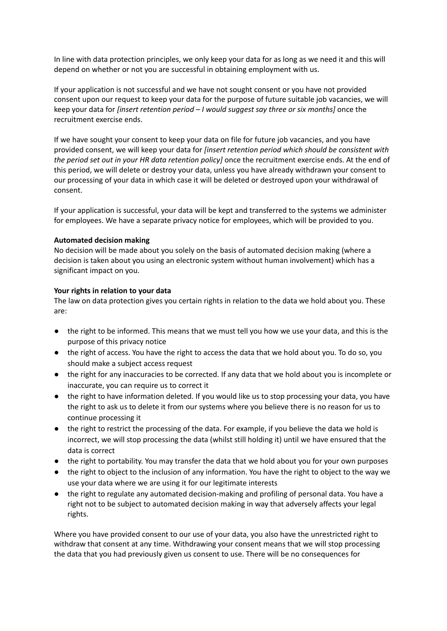In line with data protection principles, we only keep your data for as long as we need it and this will depend on whether or not you are successful in obtaining employment with us.

If your application is not successful and we have not sought consent or you have not provided consent upon our request to keep your data for the purpose of future suitable job vacancies, we will keep your data for *[insert retention period – I would suggest say three or six months]* once the recruitment exercise ends.

If we have sought your consent to keep your data on file for future job vacancies, and you have provided consent, we will keep your data for *[insert retention period which should be consistent with the period set out in your HR data retention policy]* once the recruitment exercise ends. At the end of this period, we will delete or destroy your data, unless you have already withdrawn your consent to our processing of your data in which case it will be deleted or destroyed upon your withdrawal of consent.

If your application is successful, your data will be kept and transferred to the systems we administer for employees. We have a separate privacy notice for employees, which will be provided to you.

# **Automated decision making**

No decision will be made about you solely on the basis of automated decision making (where a decision is taken about you using an electronic system without human involvement) which has a significant impact on you.

#### **Your rights in relation to your data**

The law on data protection gives you certain rights in relation to the data we hold about you. These are:

- the right to be informed. This means that we must tell you how we use your data, and this is the purpose of this privacy notice
- the right of access. You have the right to access the data that we hold about you. To do so, you should make a subject access request
- the right for any inaccuracies to be corrected. If any data that we hold about you is incomplete or inaccurate, you can require us to correct it
- the right to have information deleted. If you would like us to stop processing your data, you have the right to ask us to delete it from our systems where you believe there is no reason for us to continue processing it
- the right to restrict the processing of the data. For example, if you believe the data we hold is incorrect, we will stop processing the data (whilst still holding it) until we have ensured that the data is correct
- the right to portability. You may transfer the data that we hold about you for your own purposes
- the right to object to the inclusion of any information. You have the right to object to the way we use your data where we are using it for our legitimate interests
- the right to regulate any automated decision-making and profiling of personal data. You have a right not to be subject to automated decision making in way that adversely affects your legal rights.

Where you have provided consent to our use of your data, you also have the unrestricted right to withdraw that consent at any time. Withdrawing your consent means that we will stop processing the data that you had previously given us consent to use. There will be no consequences for